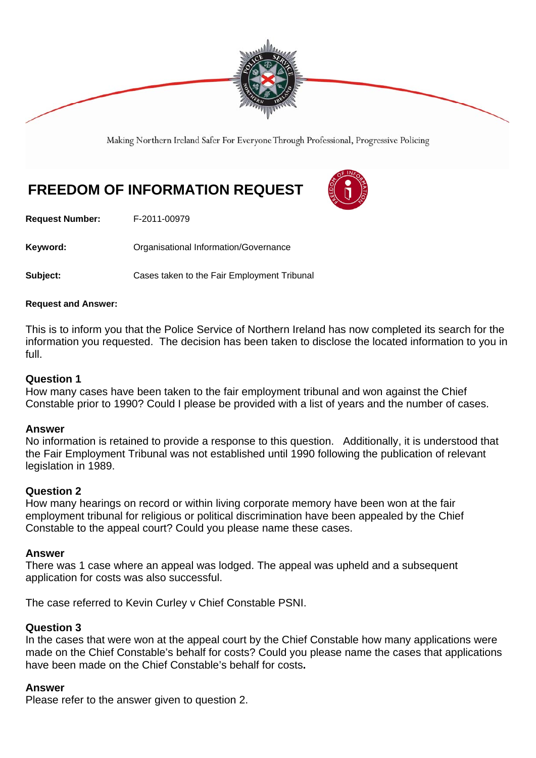

Making Northern Ireland Safer For Everyone Through Professional, Progressive Policing

# **FREEDOM OF INFORMATION REQUEST**

**Request Number:** F-2011-00979

Keyword: **Communistry Communists** Organisational Information/Governance

**Subject: Cases taken to the Fair Employment Tribunal** 

#### **Request and Answer:**

This is to inform you that the Police Service of Northern Ireland has now completed its search for the information you requested. The decision has been taken to disclose the located information to you in full.

#### **Question 1**

How many cases have been taken to the fair employment tribunal and won against the Chief Constable prior to 1990? Could I please be provided with a list of years and the number of cases.

#### **Answer**

No information is retained to provide a response to this question. Additionally, it is understood that the Fair Employment Tribunal was not established until 1990 following the publication of relevant legislation in 1989.

#### **Question 2**

How many hearings on record or within living corporate memory have been won at the fair employment tribunal for religious or political discrimination have been appealed by the Chief Constable to the appeal court? Could you please name these cases.

#### **Answer**

There was 1 case where an appeal was lodged. The appeal was upheld and a subsequent application for costs was also successful.

The case referred to Kevin Curley v Chief Constable PSNI.

#### **Question 3**

In the cases that were won at the appeal court by the Chief Constable how many applications were made on the Chief Constable's behalf for costs? Could you please name the cases that applications have been made on the Chief Constable's behalf for costs**.** 

#### **Answer**

Please refer to the answer given to question 2.